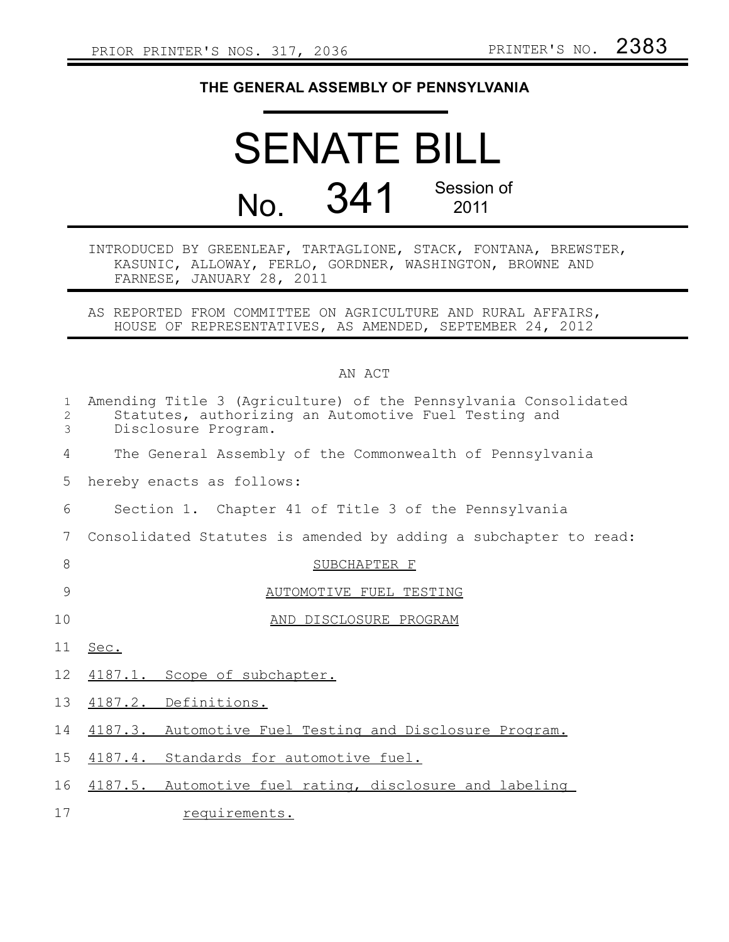## **THE GENERAL ASSEMBLY OF PENNSYLVANIA**

## SENATE BILL No. 341 Session of 2011

## INTRODUCED BY GREENLEAF, TARTAGLIONE, STACK, FONTANA, BREWSTER, KASUNIC, ALLOWAY, FERLO, GORDNER, WASHINGTON, BROWNE AND FARNESE, JANUARY 28, 2011

AS REPORTED FROM COMMITTEE ON AGRICULTURE AND RURAL AFFAIRS, HOUSE OF REPRESENTATIVES, AS AMENDED, SEPTEMBER 24, 2012

## AN ACT

| $\mathbf{1}$<br>2<br>3 | Amending Title 3 (Agriculture) of the Pennsylvania Consolidated<br>Statutes, authorizing an Automotive Fuel Testing and<br>Disclosure Program. |
|------------------------|------------------------------------------------------------------------------------------------------------------------------------------------|
| 4                      | The General Assembly of the Commonwealth of Pennsylvania                                                                                       |
| 5                      | hereby enacts as follows:                                                                                                                      |
| 6                      | Section 1. Chapter 41 of Title 3 of the Pennsylvania                                                                                           |
| 7                      | Consolidated Statutes is amended by adding a subchapter to read:                                                                               |
| 8                      | SUBCHAPTER F                                                                                                                                   |
| 9                      | AUTOMOTIVE FUEL TESTING                                                                                                                        |
| 10                     | AND DISCLOSURE PROGRAM                                                                                                                         |
| 11                     | Sec.                                                                                                                                           |
| 12                     | 4187.1. Scope of subchapter.                                                                                                                   |
| 13                     | 4187.2. Definitions.                                                                                                                           |
| 14                     | 4187.3. Automotive Fuel Testing and Disclosure Program.                                                                                        |
| 15                     | 4187.4. Standards for automotive fuel.                                                                                                         |
| 16                     | 4187.5. Automotive fuel rating, disclosure and labeling                                                                                        |
| 17                     | requirements.                                                                                                                                  |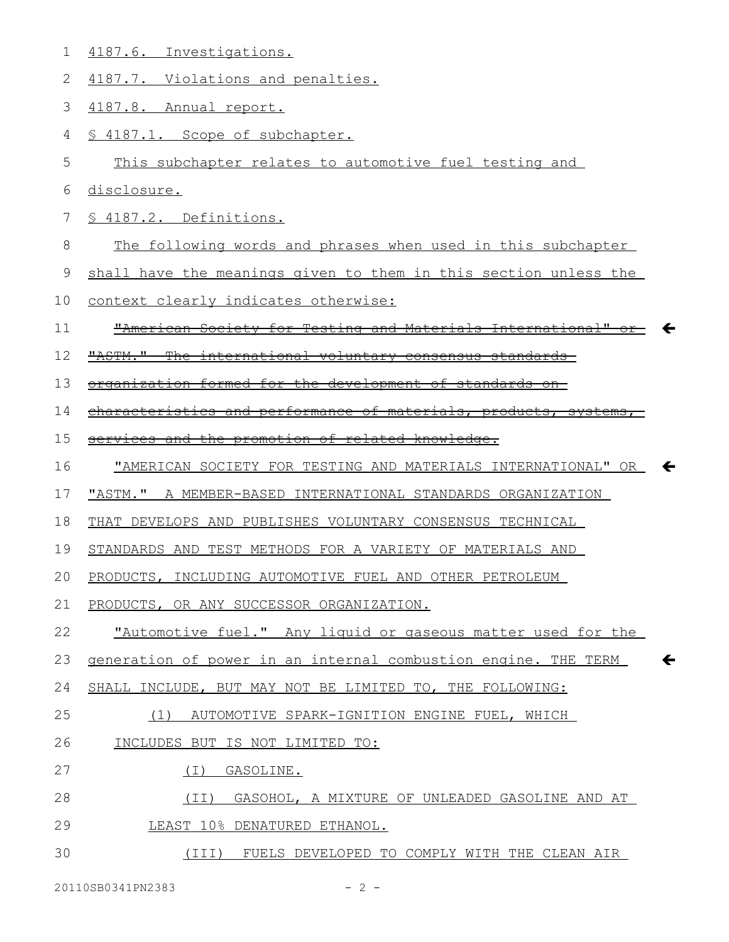| 1  | 4187.6. Investigations.                                                        |
|----|--------------------------------------------------------------------------------|
| 2  | 4187.7. Violations and penalties.                                              |
| 3  | 4187.8. Annual report.                                                         |
| 4  | § 4187.1. Scope of subchapter.                                                 |
| 5  | This subchapter relates to automotive fuel testing and                         |
| 6  | disclosure.                                                                    |
| 7  | § 4187.2. Definitions.                                                         |
| 8  | The following words and phrases when used in this subchapter                   |
| 9  | shall have the meanings given to them in this section unless the               |
| 10 | context clearly indicates otherwise:                                           |
| 11 | "American Society for Testing and Materials International"                     |
| 12 | "ASTM."<br><del>international voluntary consensus standards-</del>             |
| 13 | organization formed for the development of standards<br>$-$ on $-$             |
| 14 | characteristics and performance of materials, products, systems                |
| 15 | services and the promotion of related knowledge.                               |
| 16 | "AMERICAN SOCIETY FOR TESTING AND MATERIALS INTERNATIONAL" OR                  |
| 17 | "ASTM." A MEMBER-BASED INTERNATIONAL STANDARDS ORGANIZATION                    |
|    |                                                                                |
| 18 | THAT DEVELOPS AND PUBLISHES VOLUNTARY CONSENSUS TECHNICAL                      |
| 19 | STANDARDS AND TEST METHODS FOR A VARIETY OF MATERIALS AND                      |
| 20 | PRODUCTS, INCLUDING AUTOMOTIVE FUEL AND OTHER PETROLEUM                        |
| 21 | PRODUCTS, OR ANY SUCCESSOR ORGANIZATION.                                       |
| 22 | "Automotive fuel." Any liquid or gaseous matter used for the                   |
| 23 | $\leftarrow$<br>generation of power in an internal combustion engine. THE TERM |
| 24 | SHALL INCLUDE, BUT MAY NOT BE LIMITED TO, THE FOLLOWING:                       |
| 25 | (1) AUTOMOTIVE SPARK-IGNITION ENGINE FUEL, WHICH                               |
| 26 | INCLUDES BUT IS NOT LIMITED TO:                                                |
| 27 | GASOLINE.<br>(T)                                                               |
| 28 | (II) GASOHOL, A MIXTURE OF UNLEADED GASOLINE AND AT                            |
| 29 | LEAST 10% DENATURED ETHANOL.                                                   |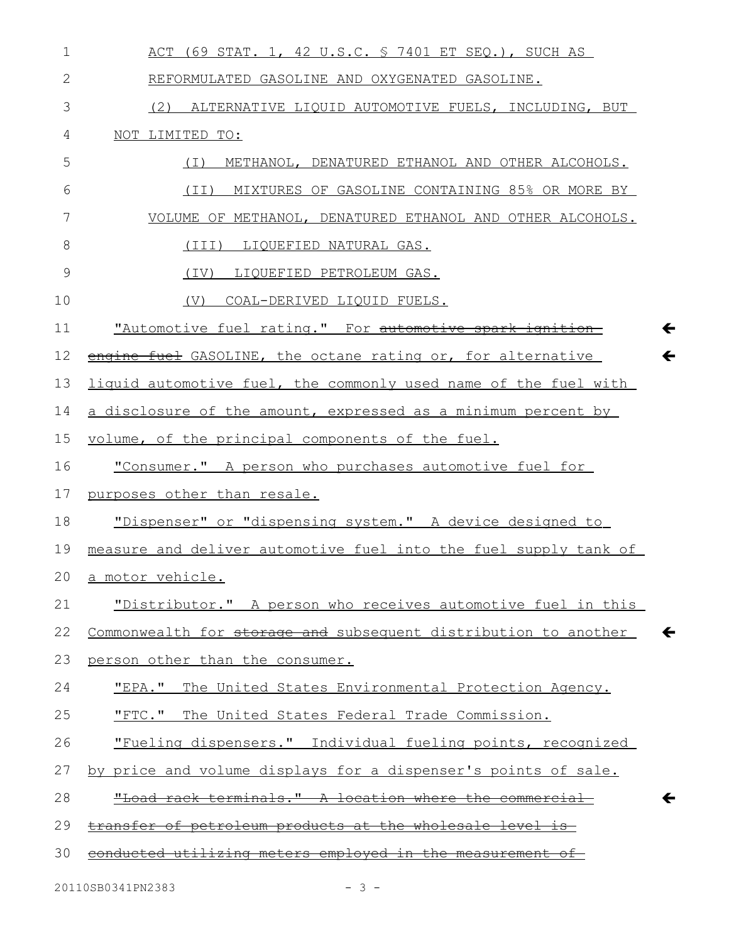| $\mathbf 1$  | ACT (69 STAT. 1, 42 U.S.C. § 7401 ET SEQ.), SUCH AS                             |
|--------------|---------------------------------------------------------------------------------|
| $\mathbf{2}$ | REFORMULATED GASOLINE AND OXYGENATED GASOLINE.                                  |
| 3            | (2) ALTERNATIVE LIQUID AUTOMOTIVE FUELS, INCLUDING, BUT                         |
| 4            | NOT LIMITED TO:                                                                 |
| 5            | METHANOL, DENATURED ETHANOL AND OTHER ALCOHOLS.<br>( I )                        |
| 6            | (II) MIXTURES OF GASOLINE CONTAINING 85% OR MORE BY                             |
| 7            | VOLUME OF METHANOL, DENATURED ETHANOL AND OTHER ALCOHOLS.                       |
| 8            | (III) LIQUEFIED NATURAL GAS.                                                    |
| 9            | (IV) LIQUEFIED PETROLEUM GAS.                                                   |
| 10           | COAL-DERIVED LIQUID FUELS.<br>(V)                                               |
| 11           | "Automotive fuel rating." For automotive spark ignition                         |
| 12           | $\leftarrow$<br>engine fuel GASOLINE, the octane rating or, for alternative     |
| 13           | liquid automotive fuel, the commonly used name of the fuel with                 |
| 14           | a disclosure of the amount, expressed as a minimum percent by                   |
| 15           | volume, of the principal components of the fuel.                                |
| 16           | "Consumer." A person who purchases automotive fuel for                          |
| 17           | purposes other than resale.                                                     |
| 18           | "Dispenser" or "dispensing system." A device designed to                        |
| 19           | measure and deliver automotive fuel into the fuel supply tank of                |
| 20           | a motor vehicle.                                                                |
| 21           | "Distributor." A person who receives automotive fuel in this                    |
| 22           | Commonwealth for storage and subsequent distribution to another<br>$\leftarrow$ |
| 23           | person other than the consumer.                                                 |
| 24           | "EPA." The United States Environmental Protection Agency.                       |
| 25           | "FTC." The United States Federal Trade Commission.                              |
| 26           | "Fueling dispensers." Individual fueling points, recognized                     |
| 27           | by price and volume displays for a dispenser's points of sale.                  |
| 28           | "Load rack terminals." A location where the commercial<br>←                     |
| 29           | transfer of petroleum products at the wholesale level is                        |
| 30           | conducted utilizing meters employed in the measurement of                       |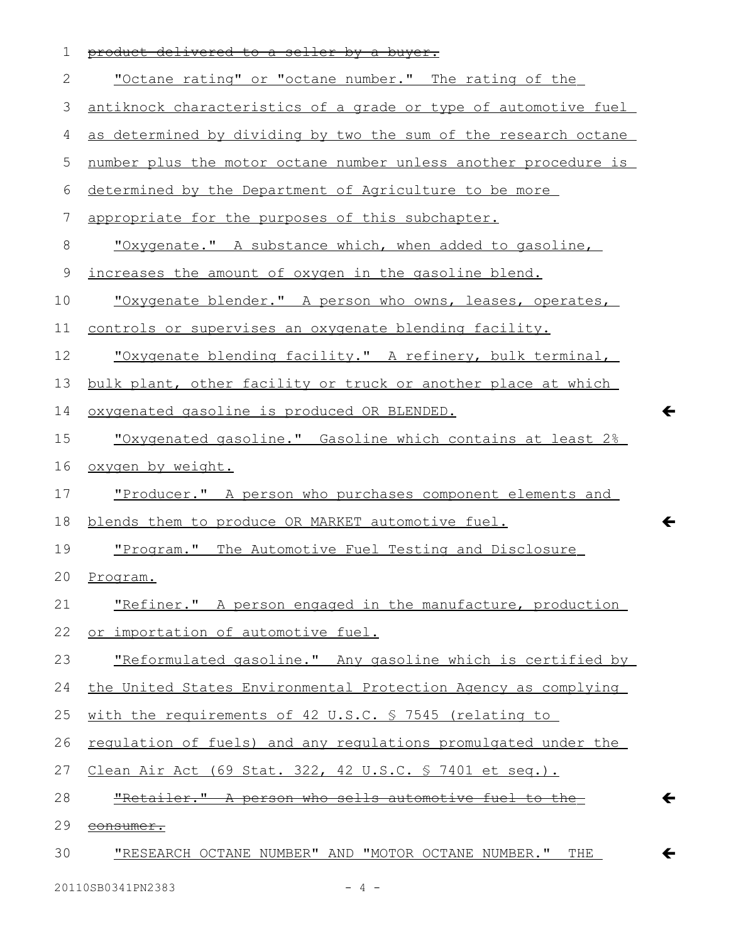| 1  | product delivered to a seller by a buyer.                       |
|----|-----------------------------------------------------------------|
| 2  | "Octane rating" or "octane number." The rating of the           |
| 3  | antiknock characteristics of a grade or type of automotive fuel |
| 4  | as determined by dividing by two the sum of the research octane |
| 5  | number plus the motor octane number unless another procedure is |
| 6  | determined by the Department of Agriculture to be more          |
| 7  | appropriate for the purposes of this subchapter.                |
| 8  | <u>"Oxygenate." A substance which, when added to gasoline,</u>  |
| 9  | increases the amount of oxygen in the gasoline blend.           |
| 10 | "Oxygenate blender." A person who owns, leases, operates,       |
| 11 | controls or supervises an oxygenate blending facility.          |
| 12 | "Oxygenate blending facility." A refinery, bulk terminal,       |
| 13 | bulk plant, other facility or truck or another place at which   |
| 14 | oxygenated gasoline is produced OR BLENDED.                     |
| 15 | "Oxygenated gasoline." Gasoline which contains at least 2%      |
| 16 | oxygen by weight.                                               |
| 17 | "Producer." A person who purchases component elements and       |
| 18 | blends them to produce OR MARKET automotive fuel.               |
| 19 | "Program." The Automotive Fuel Testing and Disclosure           |
| 20 | Program.                                                        |
| 21 | "Refiner." A person engaged in the manufacture, production      |
| 22 | or importation of automotive fuel.                              |
| 23 | "Reformulated gasoline." Any gasoline which is certified by     |
| 24 | the United States Environmental Protection Agency as complying  |
| 25 | with the requirements of 42 U.S.C. § 7545 (relating to          |
| 26 | regulation of fuels) and any regulations promulgated under the  |
| 27 | Clean Air Act (69 Stat. 322, 42 U.S.C. § 7401 et seq.).         |
| 28 | "Retailer." A person who sells automotive fuel to the           |
| 29 | consumer.                                                       |
| 30 | <u>"RESEARCH OCTANE NUMBER" AND "MOTOR OCTANE NUMBER." THE</u>  |

 $\leftarrow$ 

 $\leftarrow$ 

 $\leftarrow$ 

 $\leftarrow$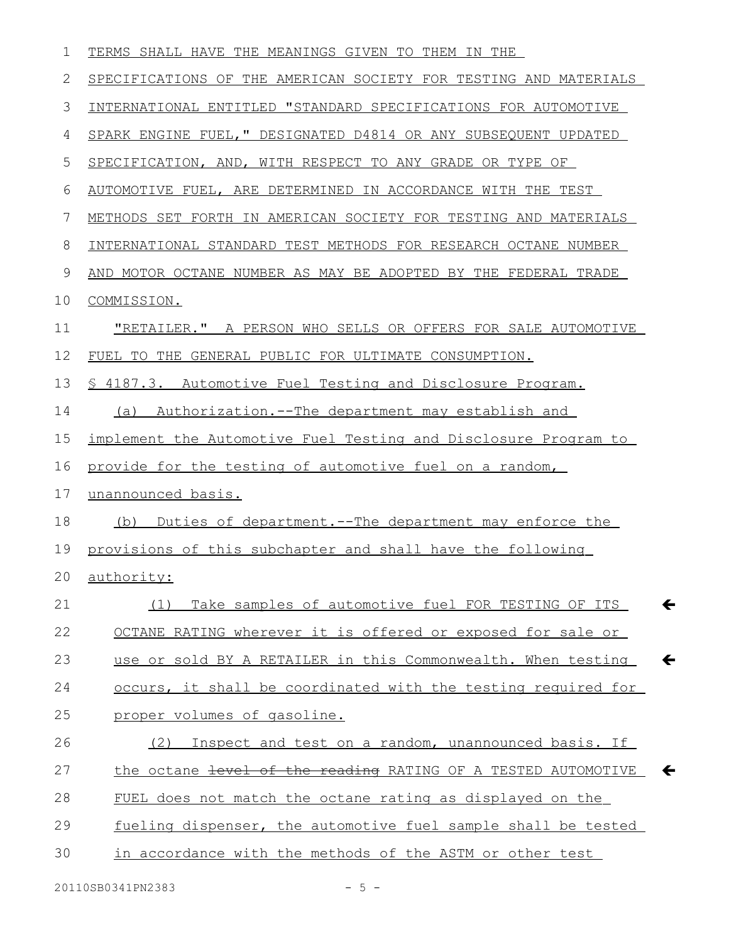| 1  | TERMS SHALL HAVE THE MEANINGS GIVEN TO THEM IN THE                            |
|----|-------------------------------------------------------------------------------|
| 2  | SPECIFICATIONS OF THE AMERICAN SOCIETY FOR TESTING AND MATERIALS              |
| 3  | INTERNATIONAL ENTITLED "STANDARD SPECIFICATIONS FOR AUTOMOTIVE                |
| 4  | SPARK ENGINE FUEL, " DESIGNATED D4814 OR ANY SUBSEQUENT UPDATED               |
| 5  | SPECIFICATION, AND, WITH RESPECT TO ANY GRADE OR TYPE OF                      |
| 6  | AUTOMOTIVE FUEL, ARE DETERMINED IN ACCORDANCE WITH THE TEST                   |
| 7  | METHODS SET FORTH IN AMERICAN SOCIETY FOR TESTING AND MATERIALS               |
| 8  | INTERNATIONAL STANDARD TEST METHODS FOR RESEARCH OCTANE NUMBER                |
| 9  | AND MOTOR OCTANE NUMBER AS MAY BE ADOPTED BY THE FEDERAL TRADE                |
| 10 | COMMISSION.                                                                   |
| 11 | <u>"RETAILER." A PERSON WHO SELLS OR OFFERS FOR SALE AUTOMOTIVE</u>           |
| 12 | FUEL TO THE GENERAL PUBLIC FOR ULTIMATE CONSUMPTION.                          |
| 13 | § 4187.3. Automotive Fuel Testing and Disclosure Program.                     |
| 14 | Authorization.--The department may establish and<br>(a)                       |
| 15 | implement the Automotive Fuel Testing and Disclosure Program to               |
| 16 | provide for the testing of automotive fuel on a random,                       |
| 17 | unannounced basis.                                                            |
| 18 | (b) Duties of department.--The department may enforce the                     |
| 19 | provisions of this subchapter and shall have the following                    |
|    | 20 authority:                                                                 |
| 21 | $\leftarrow$<br>Take samples of automotive fuel FOR TESTING OF ITS<br>(1)     |
| 22 | OCTANE RATING wherever it is offered or exposed for sale or                   |
| 23 | $\leftarrow$<br>use or sold BY A RETAILER in this Commonwealth. When testing  |
| 24 | occurs, it shall be coordinated with the testing required for                 |
| 25 | proper volumes of gasoline.                                                   |
| 26 | Inspect and test on a random, unannounced basis. If<br>(2)                    |
| 27 | the octane level of the reading RATING OF A TESTED AUTOMOTIVE<br>$\leftarrow$ |
| 28 | FUEL does not match the octane rating as displayed on the                     |
| 29 | fueling dispenser, the automotive fuel sample shall be tested                 |
| 30 | in accordance with the methods of the ASTM or other test                      |
|    |                                                                               |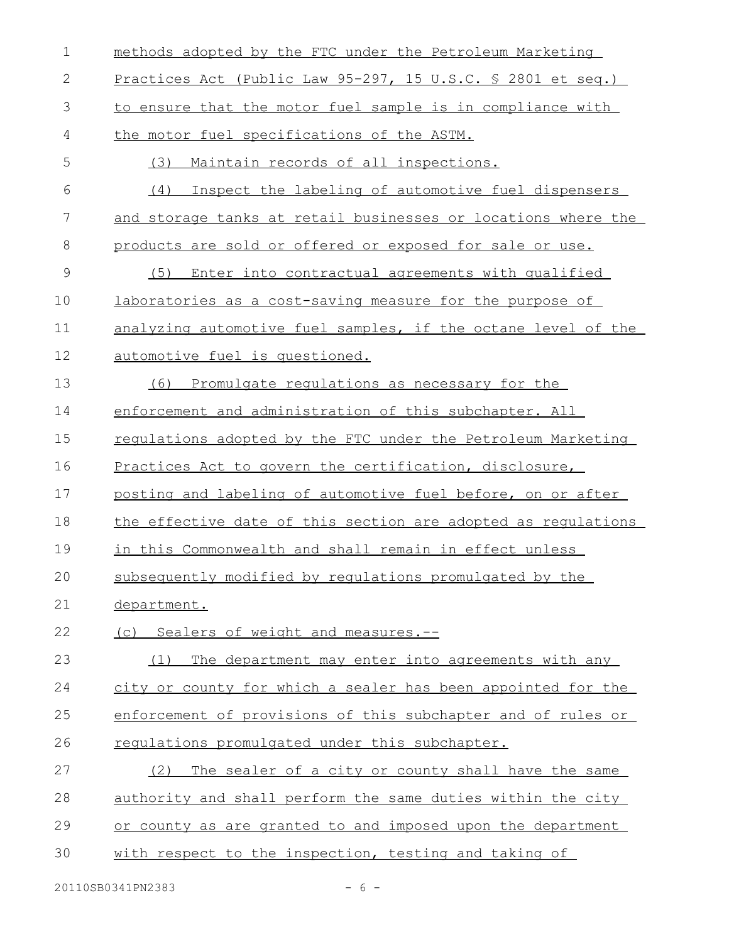| $\mathbf 1$   | methods adopted by the FTC under the Petroleum Marketing      |
|---------------|---------------------------------------------------------------|
| 2             | Practices Act (Public Law 95-297, 15 U.S.C. § 2801 et seq.)   |
| 3             | to ensure that the motor fuel sample is in compliance with    |
| 4             | the motor fuel specifications of the ASTM.                    |
| 5             | Maintain records of all inspections.<br>(3)                   |
| 6             | (4)<br>Inspect the labeling of automotive fuel dispensers     |
| 7             | and storage tanks at retail businesses or locations where the |
| 8             | products are sold or offered or exposed for sale or use.      |
| $\mathcal{G}$ | Enter into contractual agreements with qualified<br>(5)       |
| 10            | laboratories as a cost-saving measure for the purpose of      |
| 11            | analyzing automotive fuel samples, if the octane level of the |
| 12            | automotive fuel is questioned.                                |
| 13            | Promulgate regulations as necessary for the<br>(6)            |
| 14            | enforcement and administration of this subchapter. All        |
| 15            | regulations adopted by the FTC under the Petroleum Marketing  |
| 16            | Practices Act to govern the certification, disclosure,        |
| 17            | posting and labeling of automotive fuel before, on or after   |
| 18            | the effective date of this section are adopted as requlations |
| 19            | in this Commonwealth and shall remain in effect unless        |
| 20            | subsequently modified by requlations promulgated by the       |
| 21            | department.                                                   |
| 22            | (c) Sealers of weight and measures.--                         |
| 23            | The department may enter into agreements with any<br>(1)      |
| 24            | city or county for which a sealer has been appointed for the  |
| 25            | enforcement of provisions of this subchapter and of rules or  |
| 26            | requiations promulgated under this subchapter.                |
| 27            | The sealer of a city or county shall have the same<br>(2)     |
| 28            | authority and shall perform the same duties within the city   |
| 29            | or county as are granted to and imposed upon the department   |
| 30            | with respect to the inspection, testing and taking of         |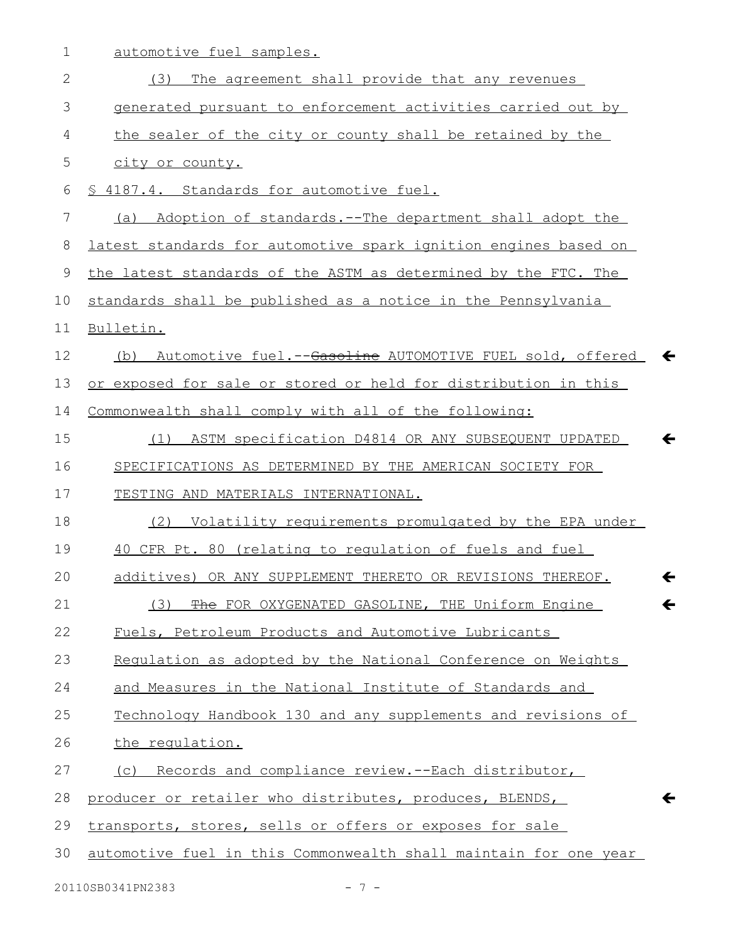1 automotive fuel samples.

| (3) The agreement shall provide that any revenues                            |
|------------------------------------------------------------------------------|
| generated pursuant to enforcement activities carried out by                  |
| the sealer of the city or county shall be retained by the                    |
| city or county.                                                              |
| § 4187.4. Standards for automotive fuel.                                     |
| (a) Adoption of standards.--The department shall adopt the                   |
| latest standards for automotive spark ignition engines based on              |
| the latest standards of the ASTM as determined by the FTC. The               |
| standards shall be published as a notice in the Pennsylvania                 |
| Bulletin.                                                                    |
| Automotive fuel.--Gasoline AUTOMOTIVE FUEL sold, offered $\leftarrow$<br>(b) |
| or exposed for sale or stored or held for distribution in this               |
| Commonwealth shall comply with all of the following:                         |
| ASTM specification D4814 OR ANY SUBSEQUENT UPDATED<br>$\leftarrow$<br>(1)    |
| SPECIFICATIONS AS DETERMINED BY THE AMERICAN SOCIETY FOR                     |
| TESTING AND MATERIALS INTERNATIONAL.                                         |
| (2) Volatility requirements promulgated by the EPA under                     |
| 40 CFR Pt. 80 (relating to regulation of fuels and fuel                      |
| additives) OR ANY SUPPLEMENT THERETO OR REVISIONS THEREOF.<br>←              |
| (3) The FOR OXYGENATED GASOLINE, THE Uniform Engine<br>↽                     |
| Fuels, Petroleum Products and Automotive Lubricants                          |
| Regulation as adopted by the National Conference on Weights                  |
| and Measures in the National Institute of Standards and                      |
| Technology Handbook 130 and any supplements and revisions of                 |
| the regulation.                                                              |
| (c) Records and compliance review.--Each distributor,                        |
| producer or retailer who distributes, produces, BLENDS,<br>$\leftarrow$      |
| transports, stores, sells or offers or exposes for sale                      |
| automotive fuel in this Commonwealth shall maintain for one year             |
|                                                                              |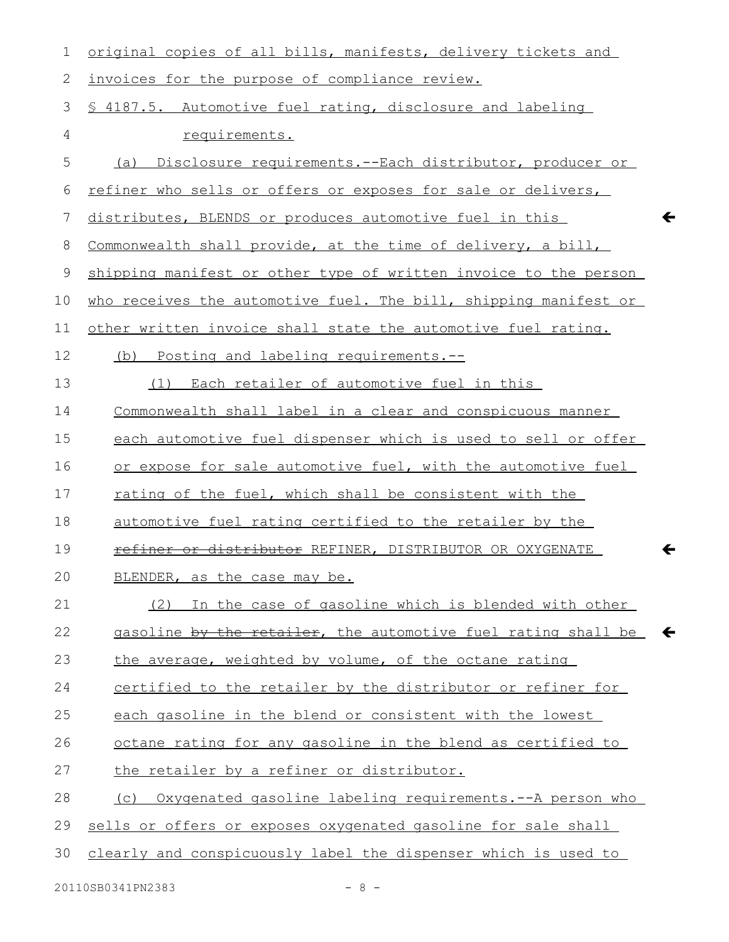| 1  | original copies of all bills, manifests, delivery tickets and    |
|----|------------------------------------------------------------------|
| 2  | invoices for the purpose of compliance review.                   |
| 3  | § 4187.5. Automotive fuel rating, disclosure and labeling        |
| 4  | requirements.                                                    |
| 5  | (a)<br>Disclosure requirements.--Each distributor, producer or   |
| 6  | refiner who sells or offers or exposes for sale or delivers,     |
| 7  | distributes, BLENDS or produces automotive fuel in this          |
| 8  | Commonwealth shall provide, at the time of delivery, a bill,     |
| 9  | shipping manifest or other type of written invoice to the person |
| 10 | who receives the automotive fuel. The bill, shipping manifest or |
| 11 | other written invoice shall state the automotive fuel rating.    |
| 12 | (b) Posting and labeling requirements.--                         |
| 13 | Each retailer of automotive fuel in this<br>(1)                  |
| 14 | Commonwealth shall label in a clear and conspicuous manner       |
| 15 | each automotive fuel dispenser which is used to sell or offer    |
| 16 | or expose for sale automotive fuel, with the automotive fuel     |
| 17 | rating of the fuel, which shall be consistent with the           |
| 18 | automotive fuel rating certified to the retailer by the          |
| 19 | refiner or distributor REFINER, DISTRIBUTOR OR OXYGENATE         |
| 20 | BLENDER, as the case may be.                                     |
| 21 | In the case of gasoline which is blended with other<br>(2)       |
| 22 | gasoline by the retailer, the automotive fuel rating shall be    |
| 23 | the average, weighted by volume, of the octane rating            |
| 24 | certified to the retailer by the distributor or refiner for      |
| 25 | each gasoline in the blend or consistent with the lowest         |
| 26 | octane rating for any gasoline in the blend as certified to      |
| 27 | the retailer by a refiner or distributor.                        |
| 28 | (c) Oxygenated gasoline labeling requirements.--A person who     |
| 29 | sells or offers or exposes oxygenated gasoline for sale shall    |
| 30 | clearly and conspicuously label the dispenser which is used to   |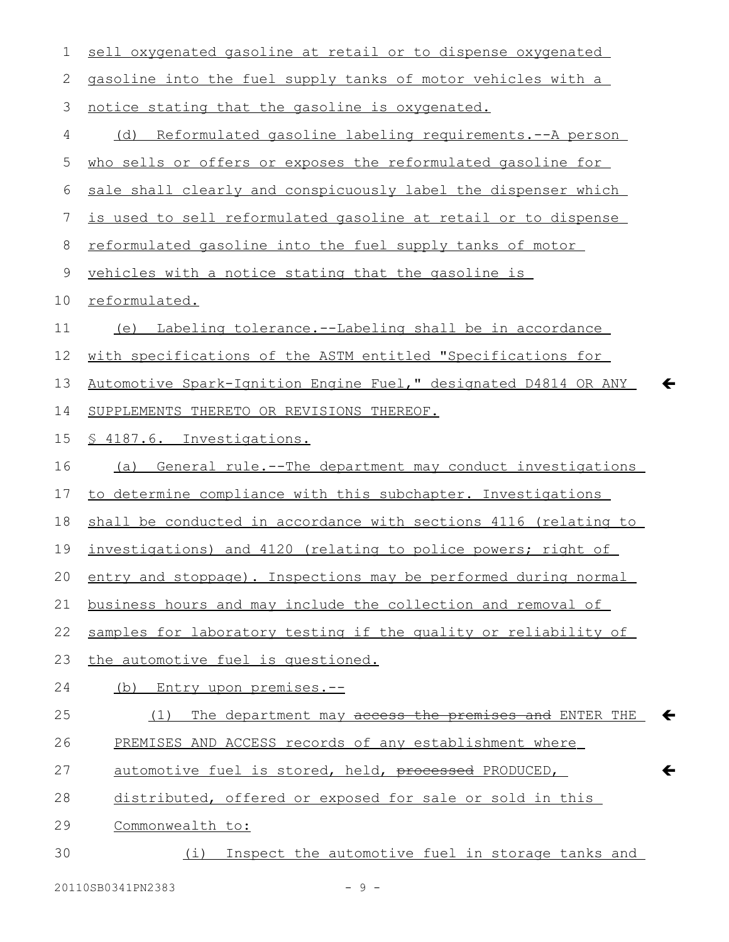| 1  | sell oxygenated gasoline at retail or to dispense oxygenated                    |
|----|---------------------------------------------------------------------------------|
| 2  | gasoline into the fuel supply tanks of motor vehicles with a                    |
| 3  | notice stating that the gasoline is oxygenated.                                 |
| 4  | (d) Reformulated gasoline labeling requirements.--A person                      |
| 5  | who sells or offers or exposes the reformulated gasoline for                    |
| 6  | sale shall clearly and conspicuously label the dispenser which                  |
| 7  | is used to sell reformulated gasoline at retail or to dispense                  |
| 8  | reformulated gasoline into the fuel supply tanks of motor                       |
| 9  | vehicles with a notice stating that the gasoline is                             |
| 10 | reformulated.                                                                   |
| 11 | (e) Labeling tolerance.--Labeling shall be in accordance                        |
| 12 | with specifications of the ASTM entitled "Specifications for                    |
| 13 | Automotive Spark-Ignition Engine Fuel," designated D4814 OR ANY<br>$\leftarrow$ |
| 14 | SUPPLEMENTS THERETO OR REVISIONS THEREOF.                                       |
| 15 | § 4187.6. Investigations.                                                       |
| 16 | General rule.--The department may conduct investigations<br>(a)                 |
| 17 | to determine compliance with this subchapter. Investigations                    |
| 18 | shall be conducted in accordance with sections 4116 (relating to                |
| 19 | investigations) and 4120 (relating to police powers; right of                   |
| 20 | entry and stoppage). Inspections may be performed during normal                 |
| 21 | business hours and may include the collection and removal of                    |
| 22 | samples for laboratory testing if the quality or reliability of                 |
| 23 | the automotive fuel is questioned.                                              |
| 24 | (b) Entry upon premises.--                                                      |
| 25 | The department may access the premises and ENTER THE<br>$\leftarrow$<br>(1)     |
| 26 | PREMISES AND ACCESS records of any establishment where                          |
| 27 | $\leftarrow$<br>automotive fuel is stored, held, processed PRODUCED,            |
| 28 | distributed, offered or exposed for sale or sold in this                        |
| 29 | Commonwealth to:                                                                |
| 30 | (i) Inspect the automotive fuel in storage tanks and                            |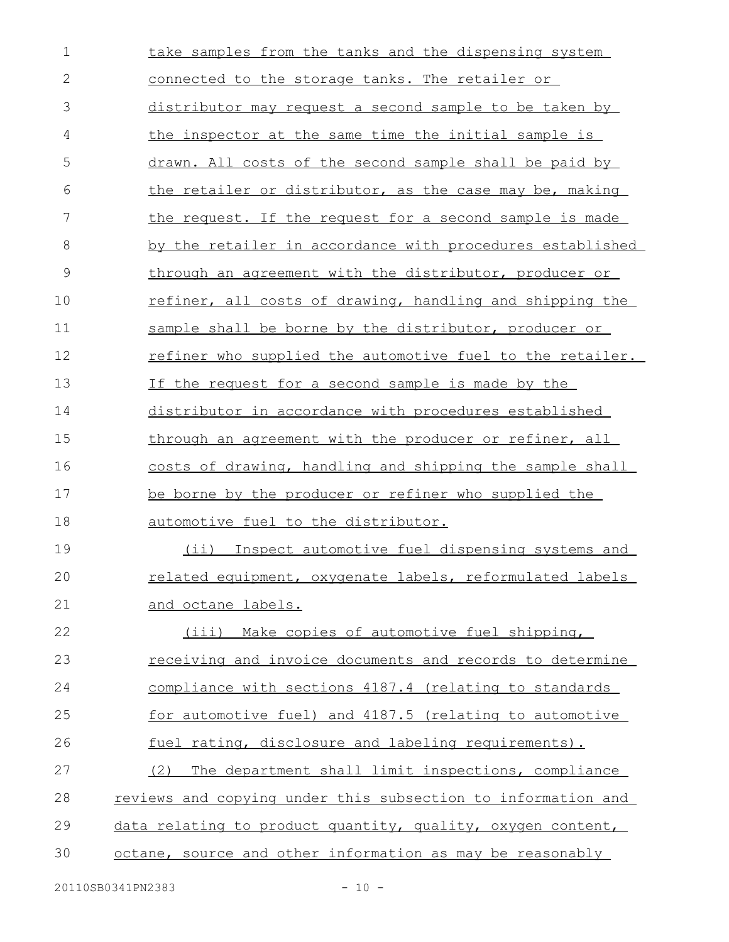| $\mathbf 1$   | take samples from the tanks and the dispensing system        |
|---------------|--------------------------------------------------------------|
| $\mathbf{2}$  | connected to the storage tanks. The retailer or              |
| 3             | distributor may request a second sample to be taken by       |
| 4             | <u>the inspector at the same time the initial sample is</u>  |
| 5             | drawn. All costs of the second sample shall be paid by       |
| 6             | the retailer or distributor, as the case may be, making      |
| 7             | the request. If the request for a second sample is made      |
| 8             | by the retailer in accordance with procedures established    |
| $\mathcal{G}$ | through an agreement with the distributor, producer or       |
| 10            | refiner, all costs of drawing, handling and shipping the     |
| 11            | sample shall be borne by the distributor, producer or        |
| 12            | refiner who supplied the automotive fuel to the retailer.    |
| 13            | If the request for a second sample is made by the            |
| 14            | distributor in accordance with procedures established        |
| 15            | through an agreement with the producer or refiner, all       |
| 16            | costs of drawing, handling and shipping the sample shall     |
| 17            | be borne by the producer or refiner who supplied the         |
| 18            | automotive fuel to the distributor.                          |
| 19            | (ii) Inspect automotive fuel dispensing systems and          |
| 20            | related equipment, oxygenate labels, reformulated labels     |
| 21            | and octane labels.                                           |
| 22            | (iii) Make copies of automotive fuel shipping,               |
| 23            | receiving and invoice documents and records to determine     |
| 24            | compliance with sections 4187.4 (relating to standards       |
| 25            | for automotive fuel) and 4187.5 (relating to automotive      |
| 26            | fuel rating, disclosure and labeling requirements).          |
| 27            | The department shall limit inspections, compliance<br>(2)    |
| 28            | reviews and copying under this subsection to information and |
| 29            | data relating to product quantity, quality, oxygen content,  |
| 30            | octane, source and other information as may be reasonably    |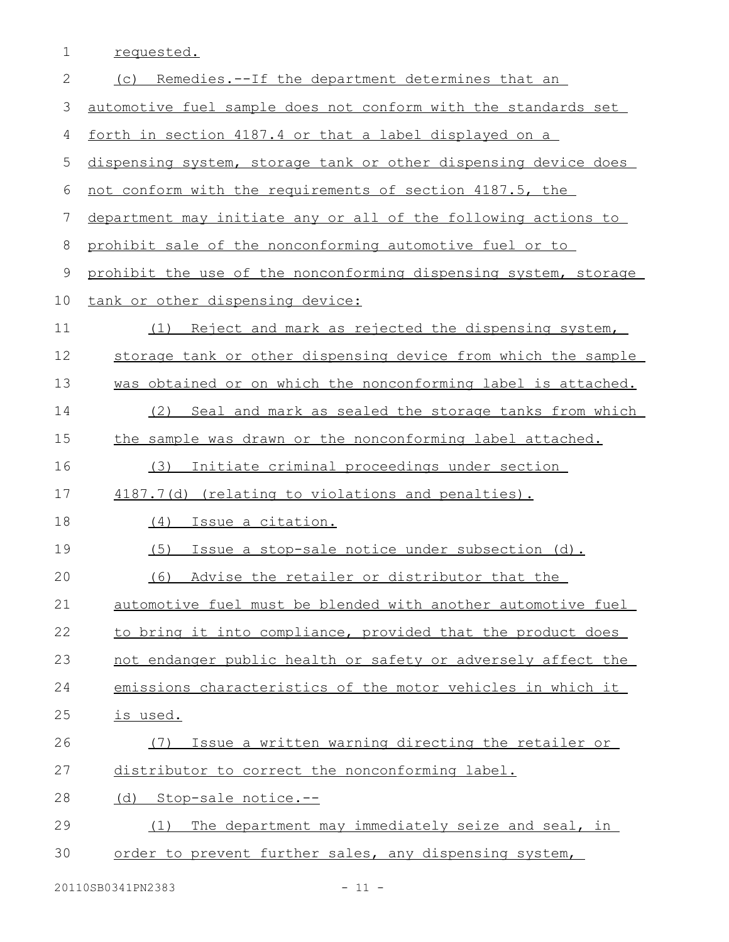| 1           | requested.                                                       |
|-------------|------------------------------------------------------------------|
| 2           | (c) Remedies.--If the department determines that an              |
| 3           | automotive fuel sample does not conform with the standards set   |
| 4           | forth in section 4187.4 or that a label displayed on a           |
| 5           | dispensing system, storage tank or other dispensing device does  |
| 6           | not conform with the requirements of section 4187.5, the         |
| 7           | department may initiate any or all of the following actions to   |
| 8           | prohibit sale of the nonconforming automotive fuel or to         |
| $\mathsf 9$ | prohibit the use of the nonconforming dispensing system, storage |
| 10          | tank or other dispensing device:                                 |
| 11          | Reject and mark as rejected the dispensing system,<br>(1)        |
| 12          | storage tank or other dispensing device from which the sample    |
| 13          | was obtained or on which the nonconforming label is attached.    |
| 14          | (2) Seal and mark as sealed the storage tanks from which         |
| 15          | the sample was drawn or the nonconforming label attached.        |
| 16          | (3)<br>Initiate criminal proceedings under section               |
| 17          | 4187.7(d) (relating to violations and penalties).                |
| 18          | Issue a citation.<br>(4)                                         |
| 19          | (5)<br>Issue a stop-sale notice under subsection (d).            |
| 20          | (6)<br>Advise the retailer or distributor that the               |
| 21          | automotive fuel must be blended with another automotive fuel     |
| 22          | to bring it into compliance, provided that the product does      |
| 23          | not endanger public health or safety or adversely affect the     |
| 24          | emissions characteristics of the motor vehicles in which it      |
| 25          | is used.                                                         |
| 26          | Issue a written warning directing the retailer or<br>(7)         |
| 27          | distributor to correct the nonconforming label.                  |
| 28          | (d) Stop-sale notice.--                                          |
| 29          | The department may immediately seize and seal, in<br>(1)         |
| 30          | order to prevent further sales, any dispensing system,           |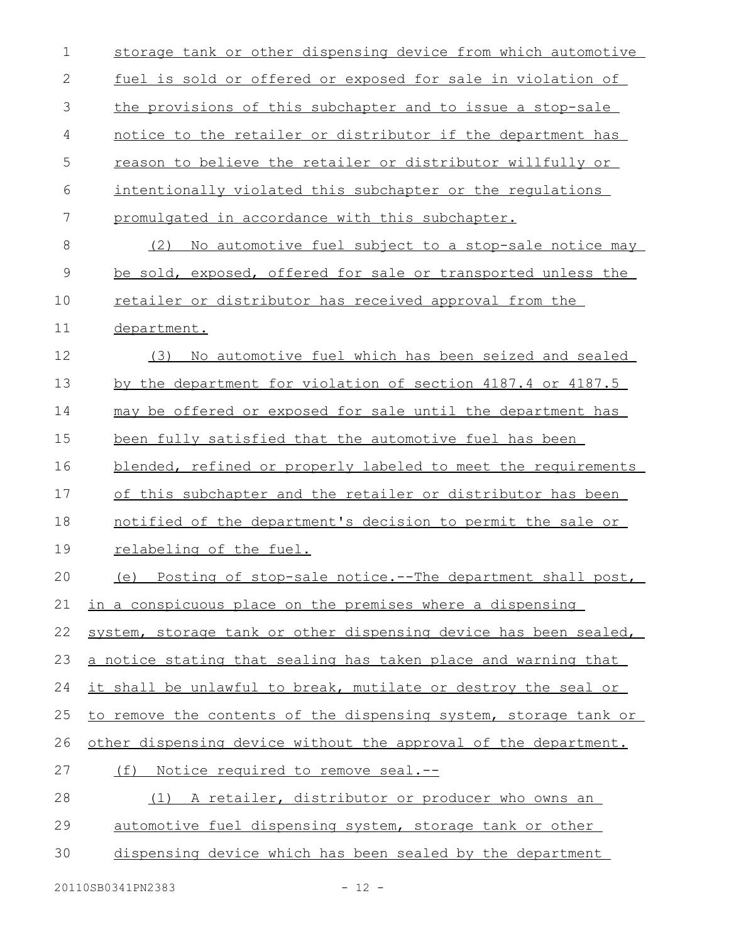| $\mathbf 1$ | storage tank or other dispensing device from which automotive    |
|-------------|------------------------------------------------------------------|
| 2           | fuel is sold or offered or exposed for sale in violation of      |
| 3           | the provisions of this subchapter and to issue a stop-sale       |
| 4           | notice to the retailer or distributor if the department has      |
| 5           | reason to believe the retailer or distributor willfully or       |
| 6           | intentionally violated this subchapter or the requlations        |
| 7           | promulgated in accordance with this subchapter.                  |
| 8           | No automotive fuel subject to a stop-sale notice may<br>(2)      |
| 9           | be sold, exposed, offered for sale or transported unless the     |
| 10          | retailer or distributor has received approval from the           |
| 11          | department.                                                      |
| 12          | No automotive fuel which has been seized and sealed<br>(3)       |
| 13          | by the department for violation of section 4187.4 or 4187.5      |
| 14          | may be offered or exposed for sale until the department has      |
| 15          | been fully satisfied that the automotive fuel has been           |
| 16          | blended, refined or properly labeled to meet the requirements    |
| 17          | of this subchapter and the retailer or distributor has been      |
| 18          | notified of the department's decision to permit the sale or      |
| 19          | relabeling of the fuel.                                          |
| 20          | (e) Posting of stop-sale notice.--The department shall post,     |
| 21          | in a conspicuous place on the premises where a dispensing        |
| 22          | system, storage tank or other dispensing device has been sealed, |
| 23          | a notice stating that sealing has taken place and warning that   |
| 24          | it shall be unlawful to break, mutilate or destroy the seal or   |
| 25          | to remove the contents of the dispensing system, storage tank or |
| 26          | other dispensing device without the approval of the department.  |
| 27          | (f) Notice required to remove seal.--                            |
| 28          | (1) A retailer, distributor or producer who owns an              |
| 29          | automotive fuel dispensing system, storage tank or other         |
| 30          | dispensing device which has been sealed by the department        |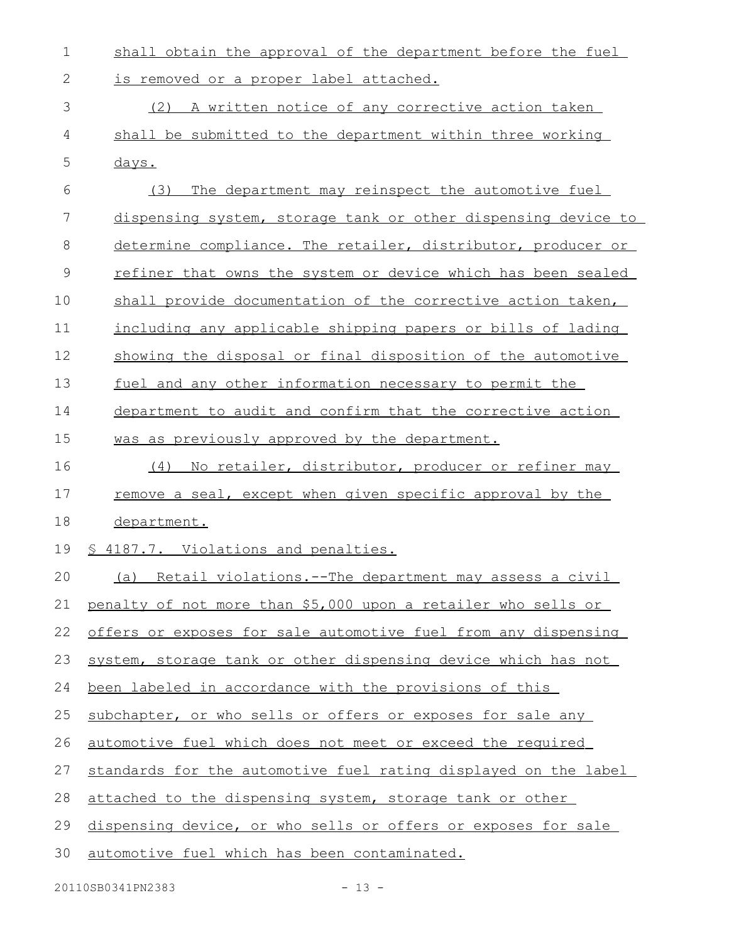| $\mathbf 1$  | shall obtain the approval of the department before the fuel     |
|--------------|-----------------------------------------------------------------|
| $\mathbf{2}$ | is removed or a proper label attached.                          |
| 3            | (2) A written notice of any corrective action taken             |
| 4            | shall be submitted to the department within three working       |
| 5            | days.                                                           |
| 6            | The department may reinspect the automotive fuel<br>(3)         |
| 7            | dispensing system, storage tank or other dispensing device to   |
| 8            | determine compliance. The retailer, distributor, producer or    |
| 9            | refiner that owns the system or device which has been sealed    |
| 10           | shall provide documentation of the corrective action taken,     |
| 11           | including any applicable shipping papers or bills of lading     |
| 12           | showing the disposal or final disposition of the automotive     |
| 13           | fuel and any other information necessary to permit the          |
| 14           | department to audit and confirm that the corrective action      |
| 15           | was as previously approved by the department.                   |
| 16           | No retailer, distributor, producer or refiner may<br>(4)        |
| 17           | remove a seal, except when given specific approval by the       |
| 18           | department.                                                     |
| 19           | § 4187.7. Violations and penalties.                             |
| 20           | (a) Retail violations.--The department may assess a civil       |
| 21           | penalty of not more than \$5,000 upon a retailer who sells or   |
| 22           | offers or exposes for sale automotive fuel from any dispensing  |
| 23           | system, storage tank or other dispensing device which has not   |
| 24           | been labeled in accordance with the provisions of this          |
| 25           | subchapter, or who sells or offers or exposes for sale any      |
| 26           | automotive fuel which does not meet or exceed the required      |
| 27           | standards for the automotive fuel rating displayed on the label |
| 28           | attached to the dispensing system, storage tank or other        |
| 29           | dispensing device, or who sells or offers or exposes for sale   |
| 30           | automotive fuel which has been contaminated.                    |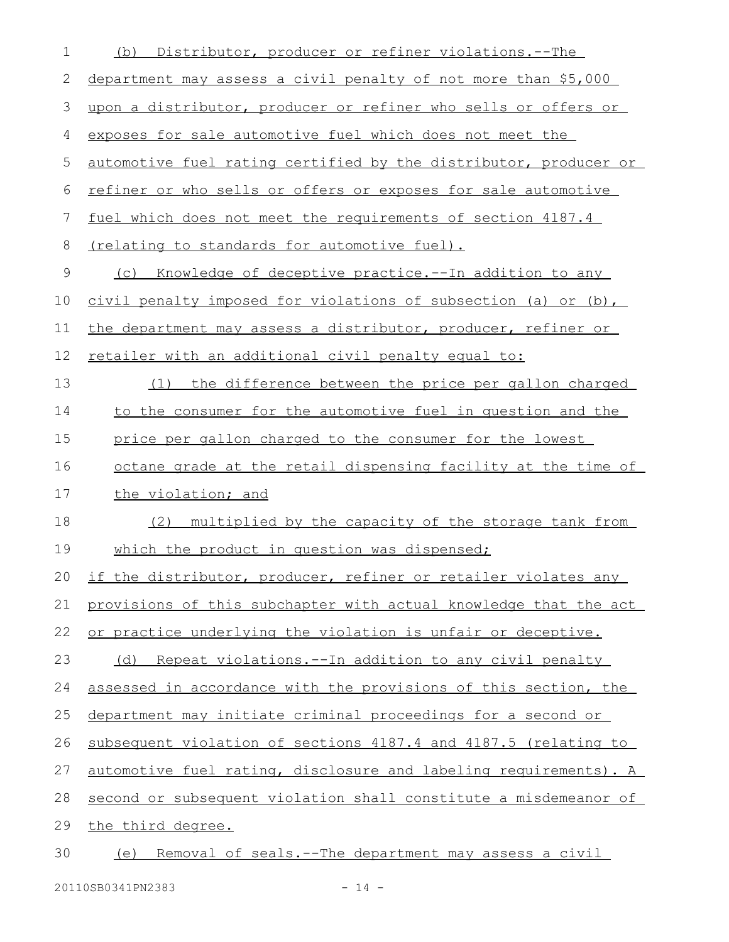| 1  | Distributor, producer or refiner violations.--The<br>(b)           |
|----|--------------------------------------------------------------------|
| 2  | department may assess a civil penalty of not more than \$5,000     |
| 3  | upon a distributor, producer or refiner who sells or offers or     |
| 4  | exposes for sale automotive fuel which does not meet the           |
| 5  | automotive fuel rating certified by the distributor, producer or   |
| 6  | refiner or who sells or offers or exposes for sale automotive      |
| 7  | fuel which does not meet the requirements of section 4187.4        |
| 8  | <u>(relating to standards for automotive fuel).</u>                |
| 9  | <u>Knowledge of deceptive practice.--In addition to any</u><br>(C) |
| 10 | civil penalty imposed for violations of subsection (a) or (b),     |
| 11 | the department may assess a distributor, producer, refiner or      |
| 12 | retailer with an additional civil penalty equal to:                |
| 13 | (1) the difference between the price per gallon charged            |
| 14 | to the consumer for the automotive fuel in question and the        |
| 15 | price per gallon charged to the consumer for the lowest            |
| 16 | octane grade at the retail dispensing facility at the time of      |
| 17 | the violation; and                                                 |
| 18 | multiplied by the capacity of the storage tank from<br>(2)         |
| 19 | which the product in question was dispensed;                       |
| 20 | if the distributor, producer, refiner or retailer violates any     |
| 21 | provisions of this subchapter with actual knowledge that the act   |
| 22 | or practice underlying the violation is unfair or deceptive.       |
| 23 | <u>Repeat violations.--In addition to any civil penalty</u><br>(d) |
| 24 | assessed in accordance with the provisions of this section, the    |
| 25 | department may initiate criminal proceedings for a second or       |
| 26 | subsequent violation of sections 4187.4 and 4187.5 (relating to    |
| 27 | automotive fuel rating, disclosure and labeling requirements). A   |
| 28 | second or subsequent violation shall constitute a misdemeanor of   |
| 29 | the third degree.                                                  |
| 30 | (e) Removal of seals.--The department may assess a civil           |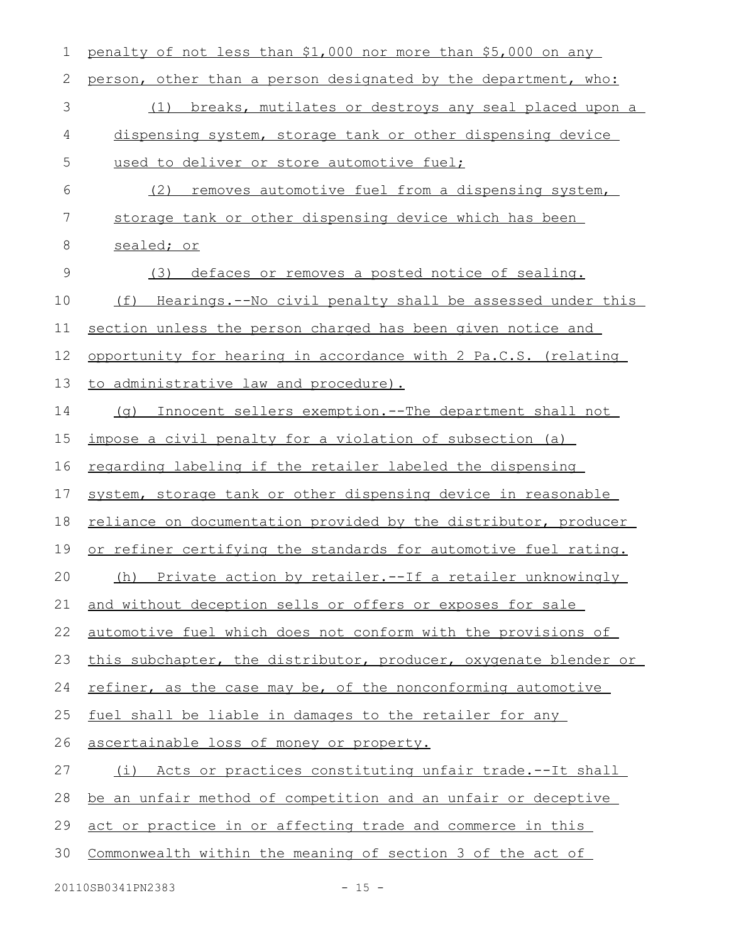| 1             | penalty of not less than \$1,000 nor more than \$5,000 on any    |
|---------------|------------------------------------------------------------------|
| 2             | person, other than a person designated by the department, who:   |
| 3             | breaks, mutilates or destroys any seal placed upon a<br>(1)      |
| 4             | dispensing system, storage tank or other dispensing device       |
| 5             | used to deliver or store automotive fuel;                        |
| 6             | removes automotive fuel from a dispensing system,<br>(2)         |
| 7             | storage tank or other dispensing device which has been           |
| 8             | sealed; or                                                       |
| $\mathcal{G}$ | defaces or removes a posted notice of sealing.<br>(3)            |
| 10            | Hearings.--No civil penalty shall be assessed under this<br>(f)  |
| 11            | section unless the person charged has been given notice and      |
| 12            | opportunity for hearing in accordance with 2 Pa.C.S. (relating   |
| 13            | to administrative law and procedure).                            |
| 14            | Innocent sellers exemption. -- The department shall not<br>(q)   |
| 15            | impose a civil penalty for a violation of subsection (a)         |
| 16            | regarding labeling if the retailer labeled the dispensing        |
| 17            | system, storage tank or other dispensing device in reasonable    |
| 18            | reliance on documentation provided by the distributor, producer  |
| 19            | or refiner certifying the standards for automotive fuel rating.  |
| 20            | (h) Private action by retailer.--If a retailer unknowingly       |
| 21            | and without deception sells or offers or exposes for sale        |
| 22            | automotive fuel which does not conform with the provisions of    |
| 23            | this subchapter, the distributor, producer, oxygenate blender or |
| 24            | refiner, as the case may be, of the nonconforming automotive     |
| 25            | fuel shall be liable in damages to the retailer for any          |
| 26            | ascertainable loss of money or property.                         |
| 27            | (i) Acts or practices constituting unfair trade.--It shall       |
| 28            | be an unfair method of competition and an unfair or deceptive    |
| 29            | act or practice in or affecting trade and commerce in this       |
| 30            | Commonwealth within the meaning of section 3 of the act of       |
|               |                                                                  |